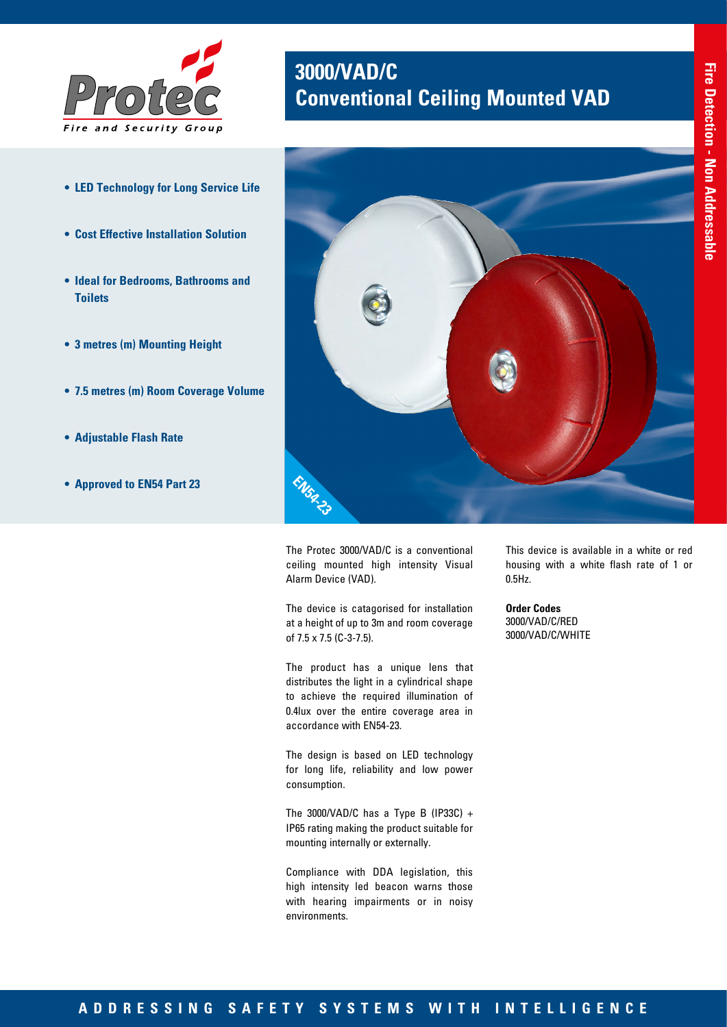

- **• LED Technology for Long Service Life**
- **• Cost Effective Installation Solution**
- **• Ideal for Bedrooms, Bathrooms and Toilets**
- **• 3 metres (m) Mounting Height**
- **• 7.5 metres (m) Room Coverage Volume**
- **• Adjustable Flash Rate**
- **• Approved to EN54 Part 23**



**Conventional Ceiling Mounted VAD**

The Protec 3000/VAD/C is a conventional ceiling mounted high intensity Visual Alarm Device (VAD).

**EN54-23**

**3000/VAD/C** 

The device is catagorised for installation at a height of up to 3m and room coverage of 7.5 x 7.5 (C-3-7.5).

The product has a unique lens that distributes the light in a cylindrical shape to achieve the required illumination of 0.4lux over the entire coverage area in accordance with EN54-23.

The design is based on LED technology for long life, reliability and low power consumption.

The 3000/VAD/C has a Type B (IP33C) + IP65 rating making the product suitable for mounting internally or externally.

Compliance with DDA legislation, this high intensity led beacon warns those with hearing impairments or in noisy environments.

This device is available in a white or red housing with a white flash rate of 1 or 0.5Hz.

**Order Codes** 3000/VAD/C/RED 3000/VAD/C/WHITE